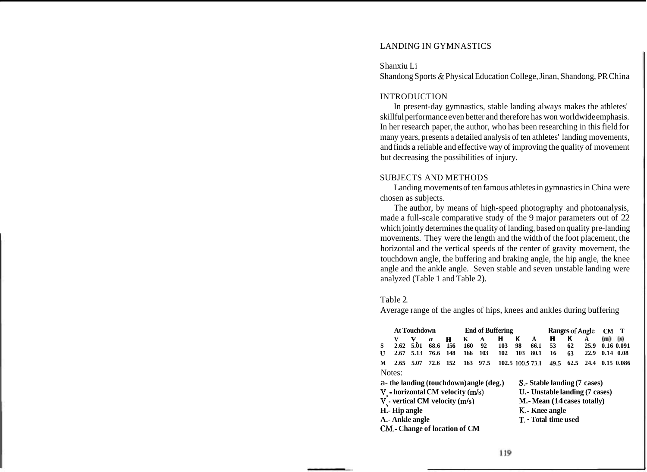# LANDING IN GYMNASTICS

S hanxiu Li Shandong Sports & Physical Education College, Jinan, Shandong, PR China

### **INTRODUCTION**

In present-day gymnastics, stable landing always makes the athletes' skillful performance even better and therefore has won worldwide emphasis. In her research paper, the author, who has been researching in this field for many years, presents a detailed analysis of ten athletes' landing movements, and finds a reliable and effective way of improving the quality of movement but decreasing the possibilities of injury.

## SUBJECTS AND METHODS

Landing movements of ten famous athletes in gymnastics in China were chosen as subjects.

The author, by means of high-speed photography and photoanalysis, made a full-scale comparative study of the 9 major parameters out of 22 which jointly determines the quality of landing, based on quality pre-landing movements. They were the length and the width of the foot placement, the horizontal and the vertical speeds of the center of gravity movement, the touchdown angle, the buffering and braking angle, the hip angle, the knee angle and the ankle angle. Seven stable and seven unstable landing were analyzed (Table 1 and Table 2).

#### Table 2.

Average range of the angles of hips, knees and ankles during buffering

|                                         | <b>At Touchdown</b> |           |                                       |            |                     | <b>End of Buffering</b> |                  |                                |                               |               | <b>Ranges of Angle</b> |                           |                          | T          |  |
|-----------------------------------------|---------------------|-----------|---------------------------------------|------------|---------------------|-------------------------|------------------|--------------------------------|-------------------------------|---------------|------------------------|---------------------------|--------------------------|------------|--|
| S<br>U                                  | 2.62<br>2.67        | v<br>5.01 | $\boldsymbol{a}$<br>68.6<br>5.13 76.6 | 156<br>148 | $H$ K<br>160<br>166 | A<br>92<br>103          | н<br>103<br>102  | к<br>98<br>103                 | A<br>66.1<br>80.1             | н<br>53<br>16 | к<br>62<br>63          | A<br>25.9<br>22.9         | $(m)$ (s)<br>$0.14$ 0.08 | 0.16 0.091 |  |
| M                                       | $2.65$ 5.07         |           | 72.6 152                              |            | 163                 | 97.5                    | 102.5 100.5 73.1 |                                |                               |               |                        | 49.5 62.5 24.4 0.15 0.086 |                          |            |  |
| Notes:                                  |                     |           |                                       |            |                     |                         |                  |                                |                               |               |                        |                           |                          |            |  |
| a- the landing (touchdown) angle (deg.) |                     |           |                                       |            |                     |                         |                  |                                | S. - Stable landing (7 cases) |               |                        |                           |                          |            |  |
| V horizontal CM velocity (m/s)          |                     |           |                                       |            |                     |                         |                  | U.- Unstable landing (7 cases) |                               |               |                        |                           |                          |            |  |
| $V_{v}$ - vertical CM velocity (m/s)    |                     |           |                                       |            |                     |                         |                  | M.- Mean (14 cases totally)    |                               |               |                        |                           |                          |            |  |
| H. Hip angle                            |                     |           |                                       |            |                     |                         |                  | K.- Knee angle                 |                               |               |                        |                           |                          |            |  |
| A.- Ankle angle                         |                     |           |                                       |            |                     |                         |                  | T. - Total time used           |                               |               |                        |                           |                          |            |  |
|                                         |                     |           | CM.- Change of location of CM         |            |                     |                         |                  |                                |                               |               |                        |                           |                          |            |  |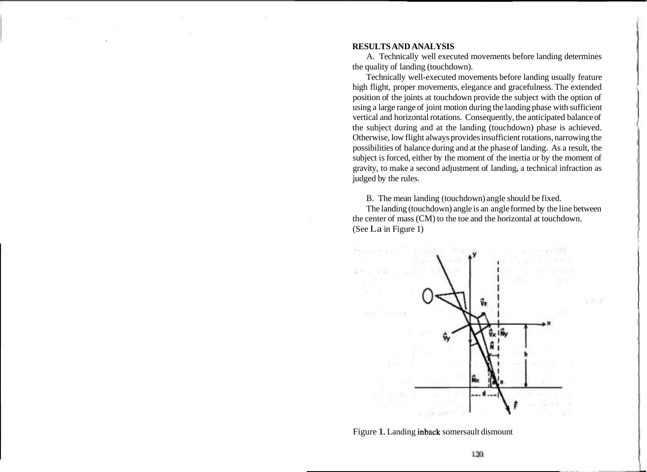#### **RESULTS AND ANALYSIS**

A. Technically well executed movements before landing determines the quality of landing (touchdown).

Technically well-executed movements before landing usually feature high flight, proper movements, elegance and gracefulness. The extended position of the joints at touchdown provide the subject with the option of using a large range of joint motion during the landing phase with sufficient vertical and horizontal rotations. Consequently, the anticipated balance of the subject during and at the landing (touchdown) phase is achieved. Otherwise, low flight always provides insufficient rotations, narrowing the possibilities of balance during and at the phase of landing. As a result, the subject is forced, either by the moment of the inertia or by the moment of gravity, to make a second adjustment of landing, a technical infraction as judged by the rules.

B. The mean landing (touchdown) angle should be fixed.

The landing (touchdown) angle is an angle formed by the line between the center of mass (CM) to the toe and the horizontal at touchdown. (See La in Figure 1)



Figure 1. Landing inback somersault dismount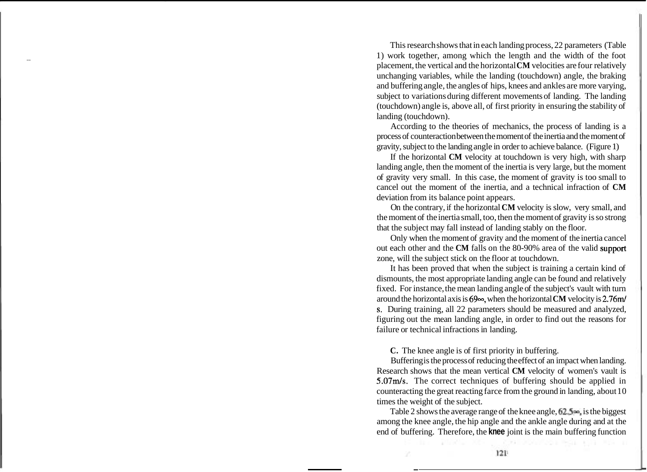This research shows that in each landing process, 22 parameters (Table - 1) work together, among which the length and the width of the foot placement, the vertical and the horizontal **CM** velocities are four relatively unchanging variables, while the landing (touchdown) angle, the braking and buffering angle, the angles of hips, knees and ankles are more varying, subject to variations during different movements of landing. The landing (touchdown) angle is, above all, of first priority in ensuring the stability of landing (touchdown).

According to the theories of mechanics, the process of landing is a process of counteraction between the moment of the inertia and the moment of gravity, subject to the landing angle in order to achieve balance. (Figure 1)

If the horizontal **CM** velocity at touchdown is very high, with sharp landing angle, then the moment of the inertia is very large, but the moment of gravity very small. In this case, the moment of gravity is too small to cancel out the moment of the inertia, and a technical infraction of **CM**  deviation from its balance point appears.

On the contrary, if the horizontal **CM** velocity is slow, very small, and the moment of the inertia small, too, then the moment of gravity is so strong that the subject may fall instead of landing stably on the floor.

Only when the moment of gravity and the moment of the inertia cancel out each other and the **CM** falls on the 80-90% area of the valid support zone, will the subject stick on the floor at touchdown.

It has been proved that when the subject is training a certain kind of dismounts, the most appropriate landing angle can be found and relatively fixed. For instance, the mean landing angle of the subject's vault with turn around the horizontal axis is  $69\infty$ , when the horizontal **CM** velocity is 2.76m/ s. During training, all 22 parameters should be measured and analyzed, figuring out the mean landing angle, in order to find out the reasons for failure or technical infractions in landing.

**C.** The knee angle is of first priority in buffering.

Buffering is the process of reducing the effect of an impact when landing. Research shows that the mean vertical **CM** velocity of women's vault is 5.07m/s. The correct techniques of buffering should be applied in counteracting the great reacting farce from the ground in landing, about 10 times the weight of the subject.

Table 2 shows the average range of the knee angle, 62.5<sup>o.</sup>, is the biggest among the knee angle, the hip angle and the ankle angle during and at the end of buffering. Therefore, the **knee** joint is the main buffering function